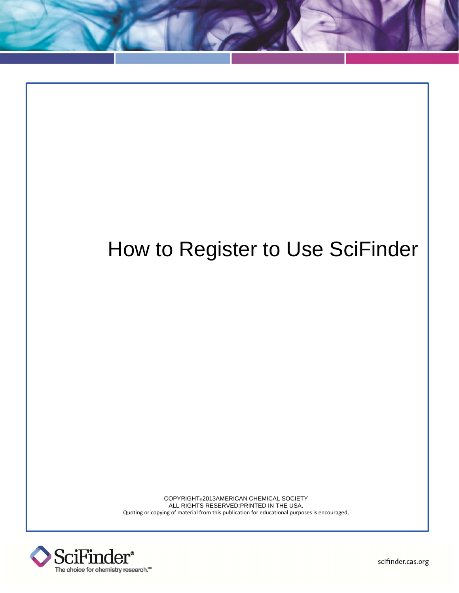## How to Register to Use SciFinder

COPYRIGHT©2013AMERICAN CHEMICAL SOCIETY ALL RIGHTS RESERVED;PRINTED IN THE USA. Quoting or copying of material from this publication for educational purposes is encouraged,



scifinder.cas.org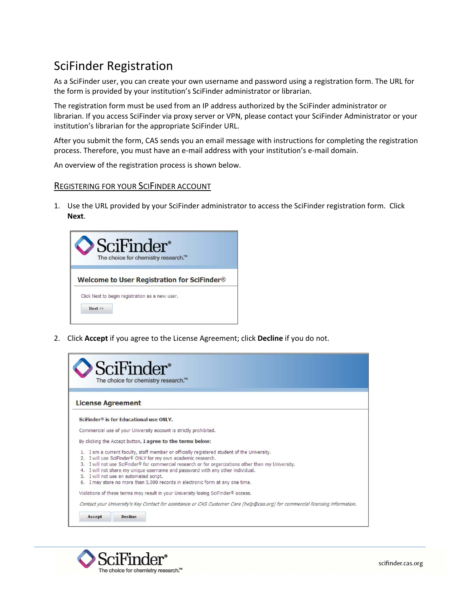## SciFinder Registration

As a SciFinder user, you can create your own username and password using a registration form. The URL for the form is provided by your institution's SciFinder administrator or librarian.

The registration form must be used from an IP address authorized by the SciFinder administrator or librarian. If you access SciFinder via proxy server or VPN, please contact your SciFinder Administrator or your institution's librarian for the appropriate SciFinder URL.

After you submit the form, CAS sends you an email message with instructions for completing the registration process. Therefore, you must have an e-mail address with your institution's e-mail domain.

An overview of the registration process is shown below.

## REGISTERING FOR YOUR SCIFINDER ACCOUNT

1. Use the URL provided by your SciFinder administrator to access the SciFinder registration form. Click **Next**.



2. Click **Accept** if you agree to the License Agreement; click **Decline** if you do not.

|                          | SciFinder®<br>The choice for chemistry research.™                                                                                                                                                                                                                                                                                                                                                                                                            |  |
|--------------------------|--------------------------------------------------------------------------------------------------------------------------------------------------------------------------------------------------------------------------------------------------------------------------------------------------------------------------------------------------------------------------------------------------------------------------------------------------------------|--|
| <b>License Agreement</b> |                                                                                                                                                                                                                                                                                                                                                                                                                                                              |  |
|                          | SciFinder <sup>®</sup> is for Educational use ONLY.                                                                                                                                                                                                                                                                                                                                                                                                          |  |
|                          | Commercial use of your University account is strictly prohibited.                                                                                                                                                                                                                                                                                                                                                                                            |  |
|                          | By clicking the Accept button, I agree to the terms below:                                                                                                                                                                                                                                                                                                                                                                                                   |  |
| 4.<br>5.<br>6.           | I am a current faculty, staff member or officially registered student of the University.<br>I will use SciFinder® ONLY for my own academic research.<br>I will not use SciFinder® for commercial research or for organizations other than my University.<br>I will not share my unique username and password with any other individual.<br>I will not use an automated script.<br>I may store no more than 5,000 records in electronic form at any one time. |  |
|                          | Violations of these terms may result in your University losing SciFinder® access.<br>Contact your University's Key Contact for assistance or CAS Customer Care (help@cas.org) for commercial licensing information.                                                                                                                                                                                                                                          |  |
|                          | Decline                                                                                                                                                                                                                                                                                                                                                                                                                                                      |  |

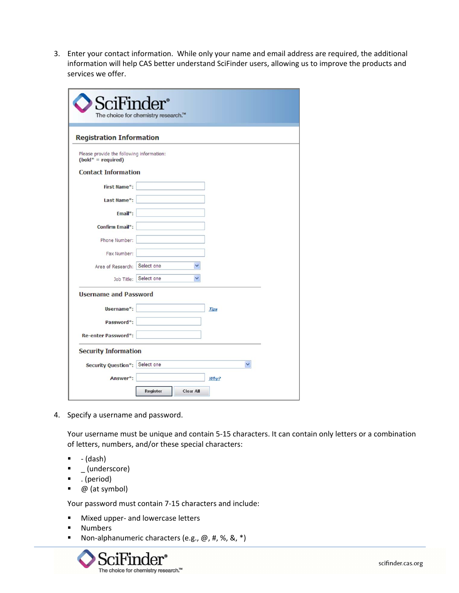3. Enter your contact information. While only your name and email address are required, the additional information will help CAS better understand SciFinder users, allowing us to improve the products and services we offer.

| SciFinder <sup>®</sup>                                             | The choice for chemistry research.™ |             |  |
|--------------------------------------------------------------------|-------------------------------------|-------------|--|
| <b>Registration Information</b>                                    |                                     |             |  |
| Please provide the following information:<br>$(bold^* = required)$ |                                     |             |  |
| <b>Contact Information</b>                                         |                                     |             |  |
| <b>First Name*:</b>                                                |                                     |             |  |
| Last Name*:                                                        |                                     |             |  |
| $Email*$ :                                                         |                                     |             |  |
| Confirm Email*:                                                    |                                     |             |  |
| Phone Number:                                                      |                                     |             |  |
| Fax Number:                                                        |                                     |             |  |
| Area of Research: Select one                                       |                                     |             |  |
|                                                                    | Job Title: Select one               |             |  |
| <b>Username and Password</b>                                       |                                     |             |  |
| Username*:                                                         |                                     | <b>Tips</b> |  |
| Password*:                                                         |                                     |             |  |
| Re-enter Password*:                                                |                                     |             |  |
| <b>Security Information</b>                                        |                                     |             |  |
| Security Question*: Select one                                     |                                     |             |  |
| Answer*:                                                           |                                     | Why?        |  |

4. Specify a username and password.

Your username must be unique and contain 5‐15 characters. It can contain only letters or a combination of letters, numbers, and/or these special characters:

- ‐ (dash)
- \_ (underscore)
- . (period)
- $\bullet$  @ (at symbol)

Your password must contain 7‐15 characters and include:

- Mixed upper- and lowercase letters
- **Numbers**
- Non-alphanumeric characters (e.g.,  $\omega$ , #, %, &, \*)